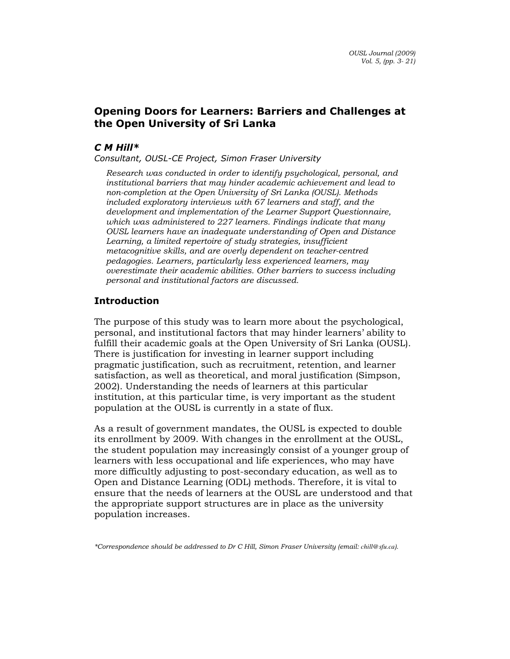# Opening Doors for Learners: Barriers and Challenges at the Open University of Sri Lanka

## C M Hill\*

Consultant, OUSL-CE Project, Simon Fraser University

Research was conducted in order to identify psychological, personal, and institutional barriers that may hinder academic achievement and lead to non-completion at the Open University of Sri Lanka (OUSL). Methods included exploratory interviews with 67 learners and staff, and the development and implementation of the Learner Support Questionnaire, which was administered to 227 learners. Findings indicate that many OUSL learners have an inadequate understanding of Open and Distance Learning, a limited repertoire of study strategies, insufficient metacognitive skills, and are overly dependent on teacher-centred pedagogies. Learners, particularly less experienced learners, may overestimate their academic abilities. Other barriers to success including personal and institutional factors are discussed.

## Introduction

The purpose of this study was to learn more about the psychological, personal, and institutional factors that may hinder learners' ability to fulfill their academic goals at the Open University of Sri Lanka (OUSL). There is justification for investing in learner support including pragmatic justification, such as recruitment, retention, and learner satisfaction, as well as theoretical, and moral justification (Simpson, 2002). Understanding the needs of learners at this particular institution, at this particular time, is very important as the student population at the OUSL is currently in a state of flux.

As a result of government mandates, the OUSL is expected to double its enrollment by 2009. With changes in the enrollment at the OUSL, the student population may increasingly consist of a younger group of learners with less occupational and life experiences, who may have more difficultly adjusting to post-secondary education, as well as to Open and Distance Learning (ODL) methods. Therefore, it is vital to ensure that the needs of learners at the OUSL are understood and that the appropriate support structures are in place as the university population increases.

\*Correspondence should be addressed to Dr C Hill, Simon Fraser University (email: *chill@sfu.ca*).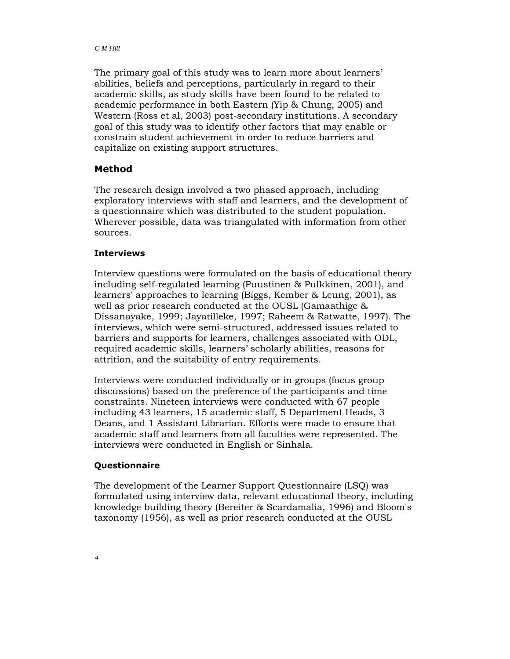The primary goal of this study was to learn more about learners' abilities, beliefs and perceptions, particularly in regard to their academic skills, as study skills have been found to be related to academic performance in both Eastern (Yip & Chung, 2005) and Western (Ross et al, 2003) post-secondary institutions. A secondary goal of this study was to identify other factors that may enable or constrain student achievement in order to reduce barriers and capitalize on existing support structures.

## Method

The research design involved a two phased approach, including exploratory interviews with staff and learners, and the development of a questionnaire which was distributed to the student population. Wherever possible, data was triangulated with information from other sources.

#### **Interviews**

Interview questions were formulated on the basis of educational theory including self-regulated learning (Puustinen & Pulkkinen, 2001), and learners' approaches to learning (Biggs, Kember & Leung, 2001), as well as prior research conducted at the OUSL (Gamaathige & Dissanayake, 1999; Jayatilleke, 1997; Raheem & Ratwatte, 1997). The interviews, which were semi-structured, addressed issues related to barriers and supports for learners, challenges associated with ODL, required academic skills, learners' scholarly abilities, reasons for attrition, and the suitability of entry requirements.

Interviews were conducted individually or in groups (focus group discussions) based on the preference of the participants and time constraints. Nineteen interviews were conducted with 67 people including 43 learners, 15 academic staff, 5 Department Heads, 3 Deans, and 1 Assistant Librarian. Efforts were made to ensure that academic staff and learners from all faculties were represented. The interviews were conducted in English or Sinhala.

#### Questionnaire

The development of the Learner Support Questionnaire (LSQ) was formulated using interview data, relevant educational theory, including knowledge building theory (Bereiter & Scardamalia, 1996) and Bloom's taxonomy (1956), as well as prior research conducted at the OUSL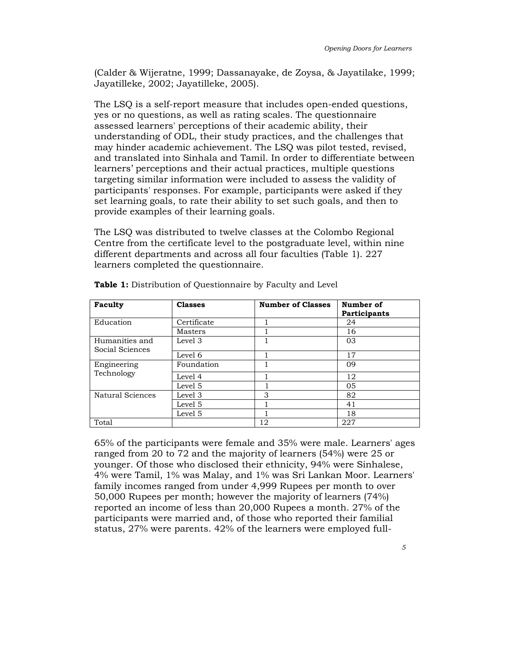(Calder & Wijeratne, 1999; Dassanayake, de Zoysa, & Jayatilake, 1999; Jayatilleke, 2002; Jayatilleke, 2005).

The LSQ is a self-report measure that includes open-ended questions, yes or no questions, as well as rating scales. The questionnaire assessed learners' perceptions of their academic ability, their understanding of ODL, their study practices, and the challenges that may hinder academic achievement. The LSQ was pilot tested, revised, and translated into Sinhala and Tamil. In order to differentiate between learners' perceptions and their actual practices, multiple questions targeting similar information were included to assess the validity of participants' responses. For example, participants were asked if they set learning goals, to rate their ability to set such goals, and then to provide examples of their learning goals.

The LSQ was distributed to twelve classes at the Colombo Regional Centre from the certificate level to the postgraduate level, within nine different departments and across all four faculties (Table 1). 227 learners completed the questionnaire.

| Faculty                           | <b>Classes</b> | <b>Number of Classes</b> | Number of<br>Participants |
|-----------------------------------|----------------|--------------------------|---------------------------|
| Education                         | Certificate    |                          | 24                        |
|                                   | Masters        |                          | 16                        |
| Humanities and<br>Social Sciences | Level 3        |                          | 03                        |
|                                   | Level 6        |                          | 17                        |
| Engineering<br>Technology         | Foundation     |                          | 09                        |
|                                   | Level 4        |                          | 12                        |
|                                   | Level 5        |                          | 05                        |
| Natural Sciences                  | Level 3        | 3                        | 82                        |
|                                   | Level 5        |                          | 41                        |
|                                   | Level 5        |                          | 18                        |
| Total                             |                | 12                       | 227                       |

Table 1: Distribution of Questionnaire by Faculty and Level

65% of the participants were female and 35% were male. Learners' ages ranged from 20 to 72 and the majority of learners (54%) were 25 or younger. Of those who disclosed their ethnicity, 94% were Sinhalese, 4% were Tamil, 1% was Malay, and 1% was Sri Lankan Moor. Learners' family incomes ranged from under 4,999 Rupees per month to over 50,000 Rupees per month; however the majority of learners (74%) reported an income of less than 20,000 Rupees a month. 27% of the participants were married and, of those who reported their familial status, 27% were parents. 42% of the learners were employed full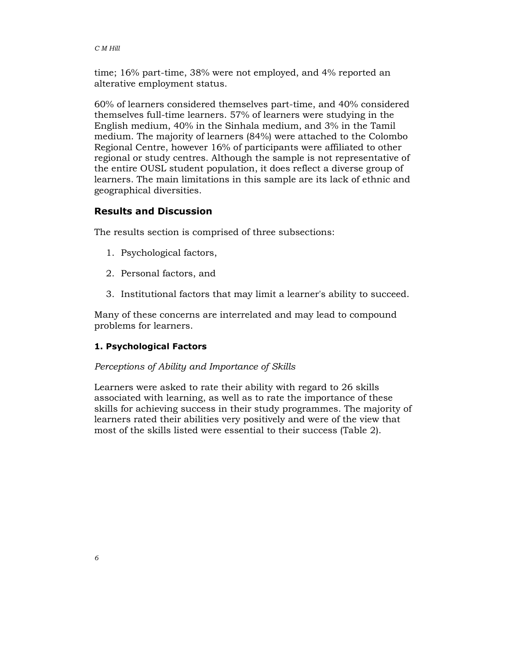time; 16% part-time, 38% were not employed, and 4% reported an alterative employment status.

60% of learners considered themselves part-time, and 40% considered themselves full-time learners. 57% of learners were studying in the English medium, 40% in the Sinhala medium, and 3% in the Tamil medium. The majority of learners (84%) were attached to the Colombo Regional Centre, however 16% of participants were affiliated to other regional or study centres. Although the sample is not representative of the entire OUSL student population, it does reflect a diverse group of learners. The main limitations in this sample are its lack of ethnic and geographical diversities.

## Results and Discussion

The results section is comprised of three subsections:

- 1. Psychological factors,
- 2. Personal factors, and
- 3. Institutional factors that may limit a learner's ability to succeed.

Many of these concerns are interrelated and may lead to compound problems for learners.

## 1. Psychological Factors

#### Perceptions of Ability and Importance of Skills

Learners were asked to rate their ability with regard to 26 skills associated with learning, as well as to rate the importance of these skills for achieving success in their study programmes. The majority of learners rated their abilities very positively and were of the view that most of the skills listed were essential to their success (Table 2).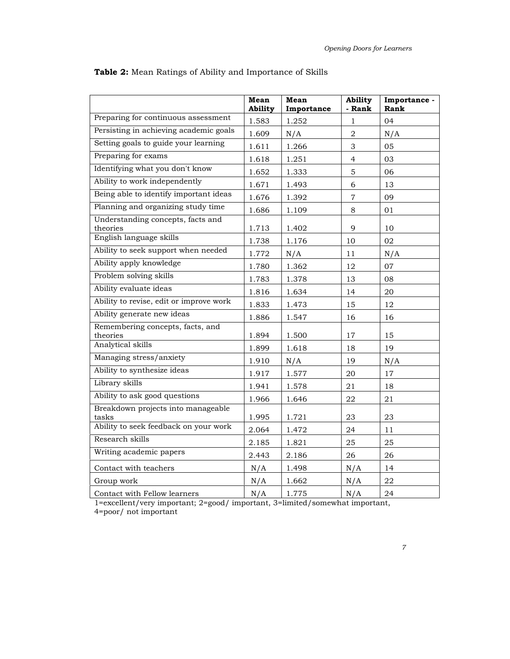|                                               | <b>Mean</b><br>Ability | Mean<br>Importance | Ability<br>- Rank | Importance -<br>Rank |
|-----------------------------------------------|------------------------|--------------------|-------------------|----------------------|
| Preparing for continuous assessment           | 1.583                  | 1.252              | $\mathbf{1}$      | 04                   |
| Persisting in achieving academic goals        | 1.609                  | N/A                | $\overline{2}$    | N/A                  |
| Setting goals to guide your learning          | 1.611                  | 1.266              | 3                 | 05                   |
| Preparing for exams                           | 1.618                  | 1.251              | $\overline{4}$    | 03                   |
| Identifying what you don't know               | 1.652                  | 1.333              | 5                 | 06                   |
| Ability to work independently                 | 1.671                  | 1.493              | 6                 | 13                   |
| Being able to identify important ideas        | 1.676                  | 1.392              | $\overline{7}$    | 09                   |
| Planning and organizing study time            | 1.686                  | 1.109              | 8                 | 01                   |
| Understanding concepts, facts and<br>theories | 1.713                  | 1.402              | 9                 | 10                   |
| English language skills                       | 1.738                  | 1.176              | 10                | 02                   |
| Ability to seek support when needed           | 1.772                  | N/A                | 11                | N/A                  |
| Ability apply knowledge                       | 1.780                  | 1.362              | 12                | 07                   |
| Problem solving skills                        | 1.783                  | 1.378              | 13                | 08                   |
| Ability evaluate ideas                        | 1.816                  | 1.634              | 14                | 20                   |
| Ability to revise, edit or improve work       | 1.833                  | 1.473              | 15                | 12                   |
| Ability generate new ideas                    | 1.886                  | 1.547              | 16                | 16                   |
| Remembering concepts, facts, and<br>theories  | 1.894                  | 1.500              | 17                | 15                   |
| Analytical skills                             | 1.899                  | 1.618              | 18                | 19                   |
| Managing stress/anxiety                       | 1.910                  | N/A                | 19                | N/A                  |
| Ability to synthesize ideas                   | 1.917                  | 1.577              | 20                | 17                   |
| Library skills                                | 1.941                  | 1.578              | 21                | 18                   |
| Ability to ask good questions                 | 1.966                  | 1.646              | 22                | 21                   |
| Breakdown projects into manageable<br>tasks   | 1.995                  | 1.721              | 23                | 23                   |
| Ability to seek feedback on your work         | 2.064                  | 1.472              | 24                | 11                   |
| Research skills                               | 2.185                  | 1.821              | 25                | 25                   |
| Writing academic papers                       | 2.443                  | 2.186              | 26                | 26                   |
| Contact with teachers                         | N/A                    | 1.498              | N/A               | 14                   |
| Group work                                    | N/A                    | 1.662              | N/A               | 22                   |
| Contact with Fellow learners                  | N/A                    | 1.775              | N/A               | 24                   |

## Table 2: Mean Ratings of Ability and Importance of Skills

1=excellent/very important; 2=good/ important, 3=limited/somewhat important, 4=poor/ not important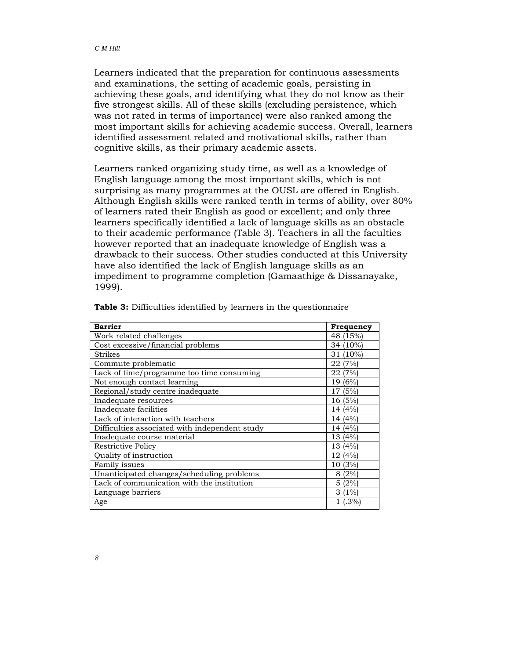Learners indicated that the preparation for continuous assessments and examinations, the setting of academic goals, persisting in achieving these goals, and identifying what they do not know as their five strongest skills. All of these skills (excluding persistence, which was not rated in terms of importance) were also ranked among the most important skills for achieving academic success. Overall, learners identified assessment related and motivational skills, rather than cognitive skills, as their primary academic assets.

Learners ranked organizing study time, as well as a knowledge of English language among the most important skills, which is not surprising as many programmes at the OUSL are offered in English. Although English skills were ranked tenth in terms of ability, over 80% of learners rated their English as good or excellent; and only three learners specifically identified a lack of language skills as an obstacle to their academic performance (Table 3). Teachers in all the faculties however reported that an inadequate knowledge of English was a drawback to their success. Other studies conducted at this University have also identified the lack of English language skills as an impediment to programme completion (Gamaathige & Dissanayake, 1999).

| <b>Barrier</b>                                 | Frequency  |
|------------------------------------------------|------------|
| Work related challenges                        | 48 (15%)   |
| Cost excessive/financial problems              | 34 (10%)   |
| Strikes                                        | 31 (10%)   |
| Commute problematic                            | 22 (7%)    |
| Lack of time/programme too time consuming      | 22 (7%)    |
| Not enough contact learning                    | 19 (6%)    |
| Regional/study centre inadequate               | 17 (5%)    |
| Inadequate resources                           | 16 (5%)    |
| Inadequate facilities                          | 14 (4%)    |
| Lack of interaction with teachers              | 14 (4%)    |
| Difficulties associated with independent study | 14 (4%)    |
| Inadequate course material                     | 13 (4%)    |
| <b>Restrictive Policy</b>                      | 13 (4%)    |
| Quality of instruction                         | 12 (4%)    |
| Family issues                                  | 10 (3%)    |
| Unanticipated changes/scheduling problems      | 8(2%)      |
| Lack of communication with the institution     | 5(2%)      |
| Language barriers                              | $3(1\%)$   |
| Age                                            | $1(0.3\%)$ |

**Table 3:** Difficulties identified by learners in the questionnaire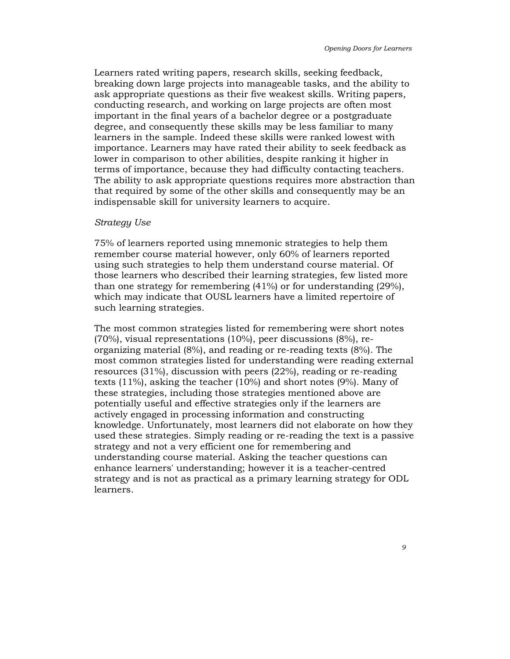Learners rated writing papers, research skills, seeking feedback, breaking down large projects into manageable tasks, and the ability to ask appropriate questions as their five weakest skills. Writing papers, conducting research, and working on large projects are often most important in the final years of a bachelor degree or a postgraduate degree, and consequently these skills may be less familiar to many learners in the sample. Indeed these skills were ranked lowest with importance. Learners may have rated their ability to seek feedback as lower in comparison to other abilities, despite ranking it higher in terms of importance, because they had difficulty contacting teachers. The ability to ask appropriate questions requires more abstraction than that required by some of the other skills and consequently may be an indispensable skill for university learners to acquire.

#### Strategy Use

75% of learners reported using mnemonic strategies to help them remember course material however, only 60% of learners reported using such strategies to help them understand course material. Of those learners who described their learning strategies, few listed more than one strategy for remembering (41%) or for understanding (29%), which may indicate that OUSL learners have a limited repertoire of such learning strategies.

The most common strategies listed for remembering were short notes (70%), visual representations (10%), peer discussions (8%), reorganizing material (8%), and reading or re-reading texts (8%). The most common strategies listed for understanding were reading external resources (31%), discussion with peers (22%), reading or re-reading texts (11%), asking the teacher (10%) and short notes (9%). Many of these strategies, including those strategies mentioned above are potentially useful and effective strategies only if the learners are actively engaged in processing information and constructing knowledge. Unfortunately, most learners did not elaborate on how they used these strategies. Simply reading or re-reading the text is a passive strategy and not a very efficient one for remembering and understanding course material. Asking the teacher questions can enhance learners' understanding; however it is a teacher-centred strategy and is not as practical as a primary learning strategy for ODL learners.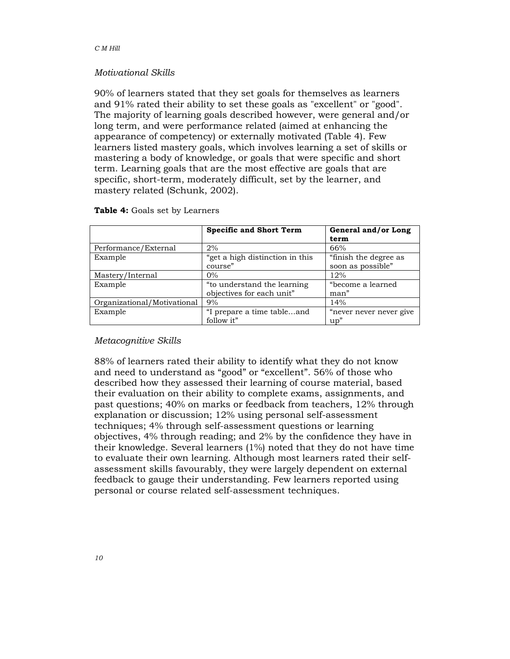## Motivational Skills

90% of learners stated that they set goals for themselves as learners and 91% rated their ability to set these goals as "excellent" or "good". The majority of learning goals described however, were general and/or long term, and were performance related (aimed at enhancing the appearance of competency) or externally motivated (Table 4). Few learners listed mastery goals, which involves learning a set of skills or mastering a body of knowledge, or goals that were specific and short term. Learning goals that are the most effective are goals that are specific, short-term, moderately difficult, set by the learner, and mastery related (Schunk, 2002).

|                             | <b>Specific and Short Term</b>  | General and/or Long     |  |
|-----------------------------|---------------------------------|-------------------------|--|
|                             |                                 | term                    |  |
| Performance/External        | 2%                              | 66%                     |  |
| Example                     | "get a high distinction in this | "finish the degree as   |  |
|                             | course"                         | soon as possible"       |  |
| Mastery/Internal            | $0\%$                           | 12%                     |  |
| Example                     | "to understand the learning     | "become a learned       |  |
|                             | objectives for each unit"       | man"                    |  |
| Organizational/Motivational | 9%                              | 14%                     |  |
| Example                     | "I prepare a time tableand      | "never never never give |  |
|                             | follow it"                      | up''                    |  |

#### Table 4: Goals set by Learners

## Metacognitive Skills

88% of learners rated their ability to identify what they do not know and need to understand as "good" or "excellent". 56% of those who described how they assessed their learning of course material, based their evaluation on their ability to complete exams, assignments, and past questions; 40% on marks or feedback from teachers, 12% through explanation or discussion; 12% using personal self-assessment techniques; 4% through self-assessment questions or learning objectives, 4% through reading; and 2% by the confidence they have in their knowledge. Several learners (1%) noted that they do not have time to evaluate their own learning. Although most learners rated their selfassessment skills favourably, they were largely dependent on external feedback to gauge their understanding. Few learners reported using personal or course related self-assessment techniques.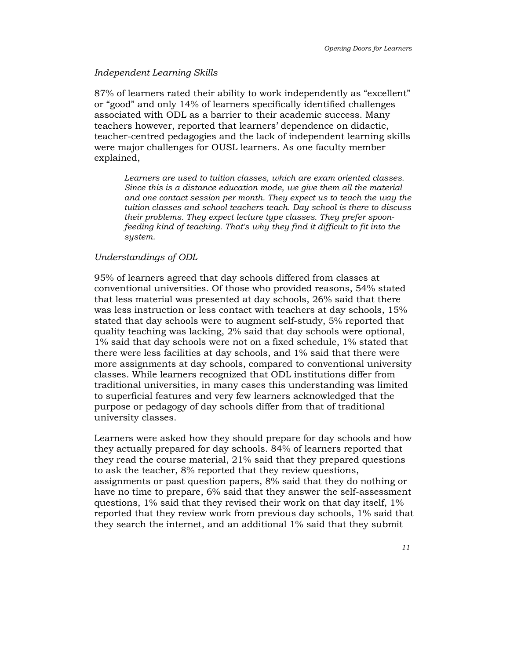#### Independent Learning Skills

87% of learners rated their ability to work independently as "excellent" or "good" and only 14% of learners specifically identified challenges associated with ODL as a barrier to their academic success. Many teachers however, reported that learners' dependence on didactic, teacher-centred pedagogies and the lack of independent learning skills were major challenges for OUSL learners. As one faculty member explained,

Learners are used to tuition classes, which are exam oriented classes. Since this is a distance education mode, we give them all the material and one contact session per month. They expect us to teach the way the tuition classes and school teachers teach. Day school is there to discuss their problems. They expect lecture type classes. They prefer spoonfeeding kind of teaching. That's why they find it difficult to fit into the system.

#### Understandings of ODL

95% of learners agreed that day schools differed from classes at conventional universities. Of those who provided reasons, 54% stated that less material was presented at day schools, 26% said that there was less instruction or less contact with teachers at day schools, 15% stated that day schools were to augment self-study, 5% reported that quality teaching was lacking, 2% said that day schools were optional, 1% said that day schools were not on a fixed schedule, 1% stated that there were less facilities at day schools, and 1% said that there were more assignments at day schools, compared to conventional university classes. While learners recognized that ODL institutions differ from traditional universities, in many cases this understanding was limited to superficial features and very few learners acknowledged that the purpose or pedagogy of day schools differ from that of traditional university classes.

Learners were asked how they should prepare for day schools and how they actually prepared for day schools. 84% of learners reported that they read the course material, 21% said that they prepared questions to ask the teacher, 8% reported that they review questions, assignments or past question papers, 8% said that they do nothing or have no time to prepare, 6% said that they answer the self-assessment questions, 1% said that they revised their work on that day itself, 1% reported that they review work from previous day schools, 1% said that they search the internet, and an additional 1% said that they submit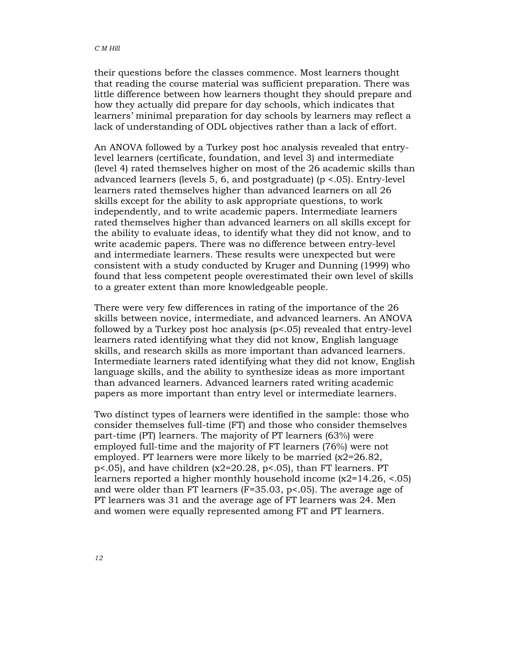their questions before the classes commence. Most learners thought that reading the course material was sufficient preparation. There was little difference between how learners thought they should prepare and how they actually did prepare for day schools, which indicates that learners' minimal preparation for day schools by learners may reflect a lack of understanding of ODL objectives rather than a lack of effort.

An ANOVA followed by a Turkey post hoc analysis revealed that entrylevel learners (certificate, foundation, and level 3) and intermediate (level 4) rated themselves higher on most of the 26 academic skills than advanced learners (levels 5, 6, and postgraduate) (p <.05). Entry-level learners rated themselves higher than advanced learners on all 26 skills except for the ability to ask appropriate questions, to work independently, and to write academic papers. Intermediate learners rated themselves higher than advanced learners on all skills except for the ability to evaluate ideas, to identify what they did not know, and to write academic papers. There was no difference between entry-level and intermediate learners. These results were unexpected but were consistent with a study conducted by Kruger and Dunning (1999) who found that less competent people overestimated their own level of skills to a greater extent than more knowledgeable people.

There were very few differences in rating of the importance of the 26 skills between novice, intermediate, and advanced learners. An ANOVA followed by a Turkey post hoc analysis (p<.05) revealed that entry-level learners rated identifying what they did not know, English language skills, and research skills as more important than advanced learners. Intermediate learners rated identifying what they did not know, English language skills, and the ability to synthesize ideas as more important than advanced learners. Advanced learners rated writing academic papers as more important than entry level or intermediate learners.

Two distinct types of learners were identified in the sample: those who consider themselves full-time (FT) and those who consider themselves part-time (PT) learners. The majority of PT learners (63%) were employed full-time and the majority of FT learners (76%) were not employed. PT learners were more likely to be married (x2=26.82, p<.05), and have children (x2=20.28, p<.05), than FT learners. PT learners reported a higher monthly household income (x2=14.26, <.05) and were older than FT learners (F=35.03, p<.05). The average age of PT learners was 31 and the average age of FT learners was 24. Men and women were equally represented among FT and PT learners.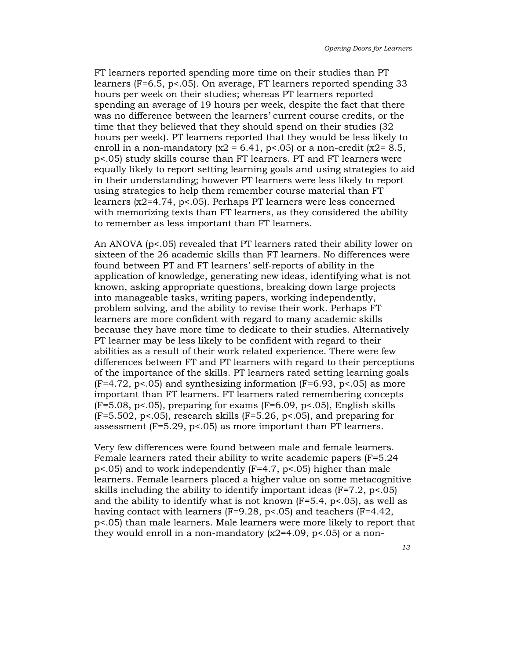FT learners reported spending more time on their studies than PT learners (F=6.5, p<.05). On average, FT learners reported spending 33 hours per week on their studies; whereas PT learners reported spending an average of 19 hours per week, despite the fact that there was no difference between the learners' current course credits, or the time that they believed that they should spend on their studies (32 hours per week). PT learners reported that they would be less likely to enroll in a non-mandatory ( $x^2 = 6.41$ ,  $p < 0.05$ ) or a non-credit ( $x^2 = 8.5$ , p<.05) study skills course than FT learners. PT and FT learners were equally likely to report setting learning goals and using strategies to aid in their understanding; however PT learners were less likely to report using strategies to help them remember course material than FT learners (x2=4.74, p<.05). Perhaps PT learners were less concerned with memorizing texts than FT learners, as they considered the ability to remember as less important than FT learners.

An ANOVA (p<.05) revealed that PT learners rated their ability lower on sixteen of the 26 academic skills than FT learners. No differences were found between PT and FT learners' self-reports of ability in the application of knowledge, generating new ideas, identifying what is not known, asking appropriate questions, breaking down large projects into manageable tasks, writing papers, working independently, problem solving, and the ability to revise their work. Perhaps FT learners are more confident with regard to many academic skills because they have more time to dedicate to their studies. Alternatively PT learner may be less likely to be confident with regard to their abilities as a result of their work related experience. There were few differences between FT and PT learners with regard to their perceptions of the importance of the skills. PT learners rated setting learning goals  $(F=4.72, p<05)$  and synthesizing information  $(F=6.93, p<05)$  as more important than FT learners. FT learners rated remembering concepts  $(F=5.08, p<0.05)$ , preparing for exams  $(F=6.09, p<0.05)$ , English skills  $(F=5.502, p<.05)$ , research skills  $(F=5.26, p<.05)$ , and preparing for assessment  $(F=5.29, p<0.05)$  as more important than PT learners.

Very few differences were found between male and female learners. Female learners rated their ability to write academic papers (F=5.24 p<.05) and to work independently (F=4.7, p<.05) higher than male learners. Female learners placed a higher value on some metacognitive skills including the ability to identify important ideas  $(F=7.2, p<0.05)$ and the ability to identify what is not known  $(F=5.4, p<0.05)$ , as well as having contact with learners (F=9.28, p<.05) and teachers (F=4.42, p<.05) than male learners. Male learners were more likely to report that they would enroll in a non-mandatory  $(x2=4.09, p<0.05)$  or a non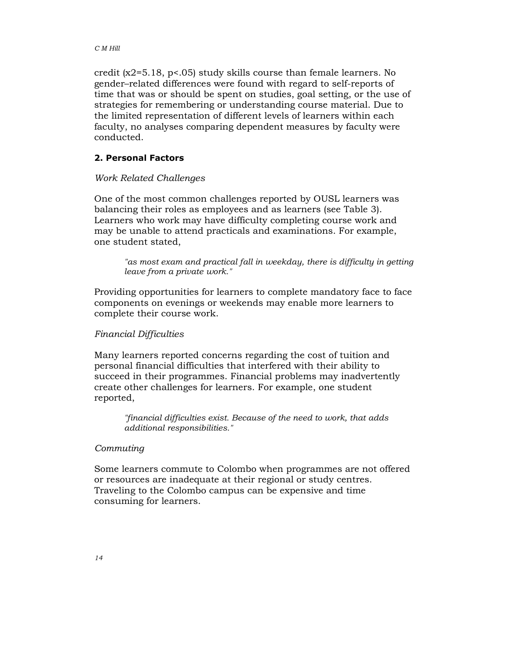credit (x2=5.18, p<.05) study skills course than female learners. No gender–related differences were found with regard to self-reports of time that was or should be spent on studies, goal setting, or the use of strategies for remembering or understanding course material. Due to the limited representation of different levels of learners within each faculty, no analyses comparing dependent measures by faculty were conducted.

## 2. Personal Factors

### Work Related Challenges

One of the most common challenges reported by OUSL learners was balancing their roles as employees and as learners (see Table 3). Learners who work may have difficulty completing course work and may be unable to attend practicals and examinations. For example, one student stated,

"as most exam and practical fall in weekday, there is difficulty in getting leave from a private work."

Providing opportunities for learners to complete mandatory face to face components on evenings or weekends may enable more learners to complete their course work.

#### Financial Difficulties

Many learners reported concerns regarding the cost of tuition and personal financial difficulties that interfered with their ability to succeed in their programmes. Financial problems may inadvertently create other challenges for learners. For example, one student reported,

"financial difficulties exist. Because of the need to work, that adds additional responsibilities."

## Commuting

Some learners commute to Colombo when programmes are not offered or resources are inadequate at their regional or study centres. Traveling to the Colombo campus can be expensive and time consuming for learners.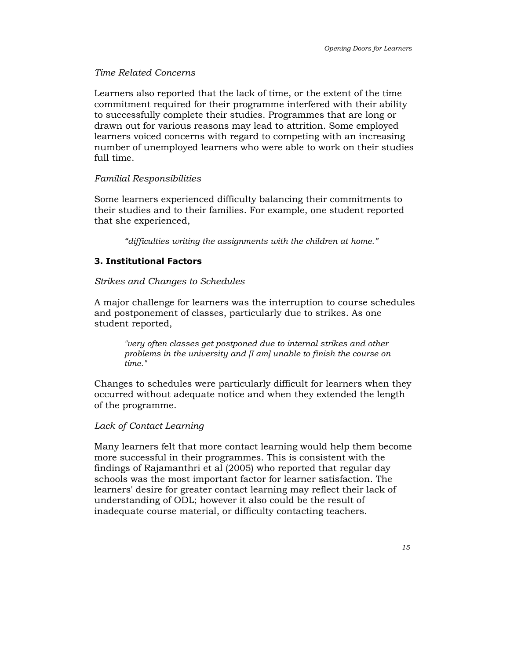## Time Related Concerns

Learners also reported that the lack of time, or the extent of the time commitment required for their programme interfered with their ability to successfully complete their studies. Programmes that are long or drawn out for various reasons may lead to attrition. Some employed learners voiced concerns with regard to competing with an increasing number of unemployed learners who were able to work on their studies full time.

## Familial Responsibilities

Some learners experienced difficulty balancing their commitments to their studies and to their families. For example, one student reported that she experienced,

"difficulties writing the assignments with the children at home."

## 3. Institutional Factors

## Strikes and Changes to Schedules

A major challenge for learners was the interruption to course schedules and postponement of classes, particularly due to strikes. As one student reported,

"very often classes get postponed due to internal strikes and other problems in the university and [I am] unable to finish the course on time."

Changes to schedules were particularly difficult for learners when they occurred without adequate notice and when they extended the length of the programme.

## Lack of Contact Learning

Many learners felt that more contact learning would help them become more successful in their programmes. This is consistent with the findings of Rajamanthri et al (2005) who reported that regular day schools was the most important factor for learner satisfaction. The learners' desire for greater contact learning may reflect their lack of understanding of ODL; however it also could be the result of inadequate course material, or difficulty contacting teachers.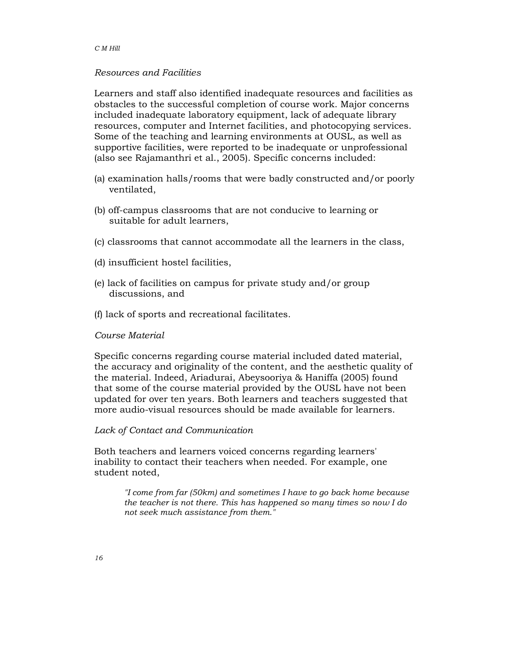#### C M Hill

### Resources and Facilities

Learners and staff also identified inadequate resources and facilities as obstacles to the successful completion of course work. Major concerns included inadequate laboratory equipment, lack of adequate library resources, computer and Internet facilities, and photocopying services. Some of the teaching and learning environments at OUSL, as well as supportive facilities, were reported to be inadequate or unprofessional (also see Rajamanthri et al., 2005). Specific concerns included:

- (a) examination halls/rooms that were badly constructed and/or poorly ventilated,
- (b) off-campus classrooms that are not conducive to learning or suitable for adult learners,
- (c) classrooms that cannot accommodate all the learners in the class,
- (d) insufficient hostel facilities,
- (e) lack of facilities on campus for private study and/or group discussions, and
- (f) lack of sports and recreational facilitates.

#### Course Material

Specific concerns regarding course material included dated material, the accuracy and originality of the content, and the aesthetic quality of the material. Indeed, Ariadurai, Abeysooriya & Haniffa (2005) found that some of the course material provided by the OUSL have not been updated for over ten years. Both learners and teachers suggested that more audio-visual resources should be made available for learners.

#### Lack of Contact and Communication

Both teachers and learners voiced concerns regarding learners' inability to contact their teachers when needed. For example, one student noted,

> "I come from far (50km) and sometimes I have to go back home because the teacher is not there. This has happened so many times so now I do not seek much assistance from them."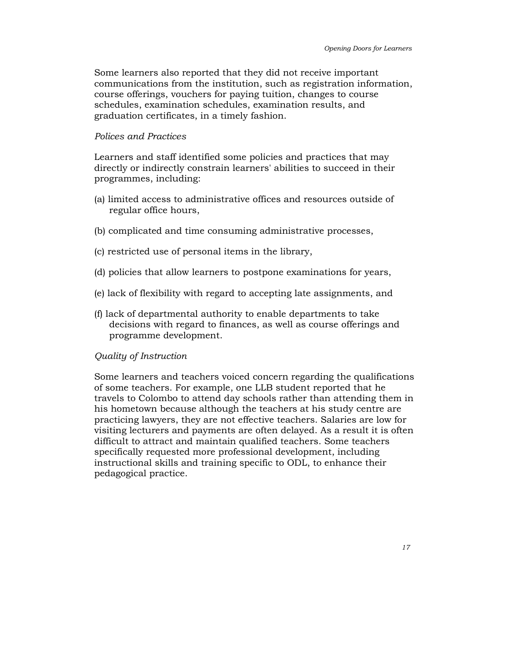Some learners also reported that they did not receive important communications from the institution, such as registration information, course offerings, vouchers for paying tuition, changes to course schedules, examination schedules, examination results, and graduation certificates, in a timely fashion.

#### Polices and Practices

Learners and staff identified some policies and practices that may directly or indirectly constrain learners' abilities to succeed in their programmes, including:

- (a) limited access to administrative offices and resources outside of regular office hours,
- (b) complicated and time consuming administrative processes,
- (c) restricted use of personal items in the library,
- (d) policies that allow learners to postpone examinations for years,
- (e) lack of flexibility with regard to accepting late assignments, and
- (f) lack of departmental authority to enable departments to take decisions with regard to finances, as well as course offerings and programme development.

#### Quality of Instruction

Some learners and teachers voiced concern regarding the qualifications of some teachers. For example, one LLB student reported that he travels to Colombo to attend day schools rather than attending them in his hometown because although the teachers at his study centre are practicing lawyers, they are not effective teachers. Salaries are low for visiting lecturers and payments are often delayed. As a result it is often difficult to attract and maintain qualified teachers. Some teachers specifically requested more professional development, including instructional skills and training specific to ODL, to enhance their pedagogical practice.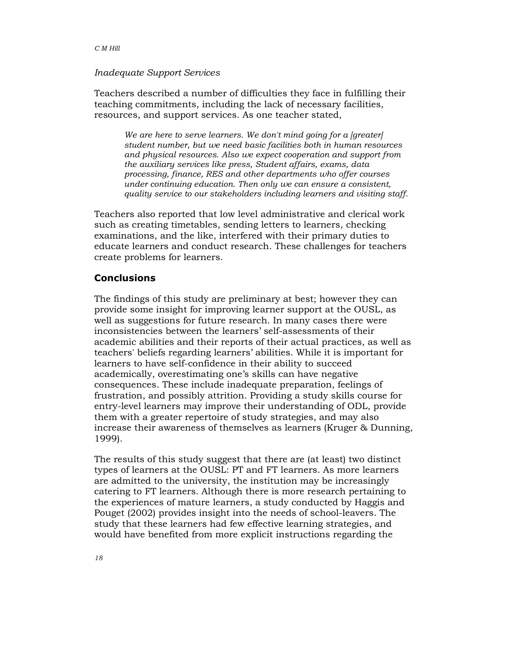#### Inadequate Support Services

Teachers described a number of difficulties they face in fulfilling their teaching commitments, including the lack of necessary facilities, resources, and support services. As one teacher stated,

We are here to serve learners. We don't mind going for a [greater] student number, but we need basic facilities both in human resources and physical resources. Also we expect cooperation and support from the auxiliary services like press, Student affairs, exams, data processing, finance, RES and other departments who offer courses under continuing education. Then only we can ensure a consistent, quality service to our stakeholders including learners and visiting staff.

Teachers also reported that low level administrative and clerical work such as creating timetables, sending letters to learners, checking examinations, and the like, interfered with their primary duties to educate learners and conduct research. These challenges for teachers create problems for learners.

### **Conclusions**

The findings of this study are preliminary at best; however they can provide some insight for improving learner support at the OUSL, as well as suggestions for future research. In many cases there were inconsistencies between the learners' self-assessments of their academic abilities and their reports of their actual practices, as well as teachers' beliefs regarding learners' abilities. While it is important for learners to have self-confidence in their ability to succeed academically, overestimating one's skills can have negative consequences. These include inadequate preparation, feelings of frustration, and possibly attrition. Providing a study skills course for entry-level learners may improve their understanding of ODL, provide them with a greater repertoire of study strategies, and may also increase their awareness of themselves as learners (Kruger & Dunning, 1999).

The results of this study suggest that there are (at least) two distinct types of learners at the OUSL: PT and FT learners. As more learners are admitted to the university, the institution may be increasingly catering to FT learners. Although there is more research pertaining to the experiences of mature learners, a study conducted by Haggis and Pouget (2002) provides insight into the needs of school-leavers. The study that these learners had few effective learning strategies, and would have benefited from more explicit instructions regarding the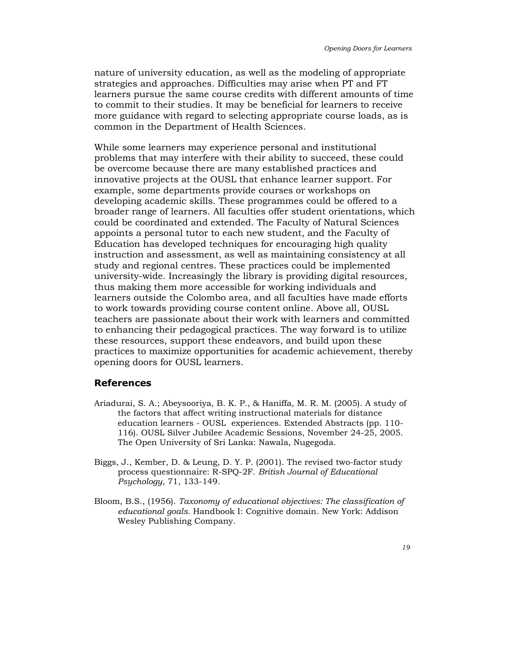nature of university education, as well as the modeling of appropriate strategies and approaches. Difficulties may arise when PT and FT learners pursue the same course credits with different amounts of time to commit to their studies. It may be beneficial for learners to receive more guidance with regard to selecting appropriate course loads, as is common in the Department of Health Sciences.

While some learners may experience personal and institutional problems that may interfere with their ability to succeed, these could be overcome because there are many established practices and innovative projects at the OUSL that enhance learner support. For example, some departments provide courses or workshops on developing academic skills. These programmes could be offered to a broader range of learners. All faculties offer student orientations, which could be coordinated and extended. The Faculty of Natural Sciences appoints a personal tutor to each new student, and the Faculty of Education has developed techniques for encouraging high quality instruction and assessment, as well as maintaining consistency at all study and regional centres. These practices could be implemented university-wide. Increasingly the library is providing digital resources, thus making them more accessible for working individuals and learners outside the Colombo area, and all faculties have made efforts to work towards providing course content online. Above all, OUSL teachers are passionate about their work with learners and committed to enhancing their pedagogical practices. The way forward is to utilize these resources, support these endeavors, and build upon these practices to maximize opportunities for academic achievement, thereby opening doors for OUSL learners.

## References

- Ariadurai, S. A.; Abeysooriya, B. K. P., & Haniffa, M. R. M. (2005). A study of the factors that affect writing instructional materials for distance education learners - OUSL experiences. Extended Abstracts (pp. 110- 116). OUSL Silver Jubilee Academic Sessions, November 24-25, 2005. The Open University of Sri Lanka: Nawala, Nugegoda.
- Biggs, J., Kember, D. & Leung, D. Y. P. (2001). The revised two-factor study process questionnaire: R-SPQ-2F. British Journal of Educational Psychology, 71, 133-149.
- Bloom, B.S., (1956). Taxonomy of educational objectives: The classification of educational goals. Handbook I: Cognitive domain. New York: Addison Wesley Publishing Company.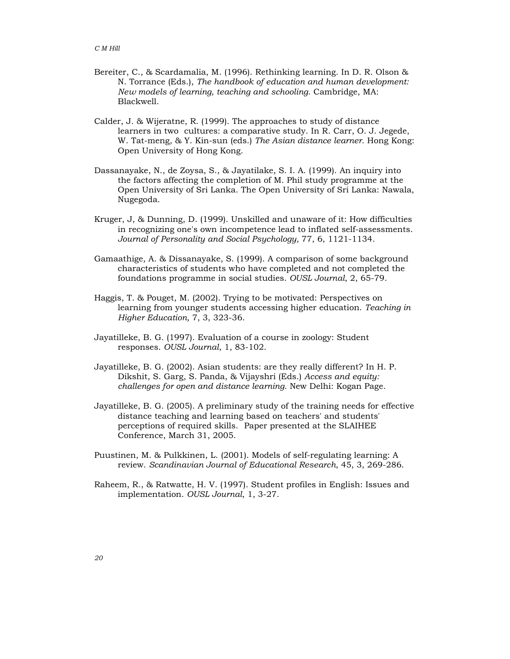- Bereiter, C., & Scardamalia, M. (1996). Rethinking learning. In D. R. Olson & N. Torrance (Eds.), The handbook of education and human development: New models of learning, teaching and schooling. Cambridge, MA: Blackwell.
- Calder, J. & Wijeratne, R. (1999). The approaches to study of distance learners in two cultures: a comparative study. In R. Carr, O. J. Jegede, W. Tat-meng, & Y. Kin-sun (eds.) The Asian distance learner. Hong Kong: Open University of Hong Kong.
- Dassanayake, N., de Zoysa, S., & Jayatilake, S. I. A. (1999). An inquiry into the factors affecting the completion of M. Phil study programme at the Open University of Sri Lanka. The Open University of Sri Lanka: Nawala, Nugegoda.
- Kruger, J, & Dunning, D. (1999). Unskilled and unaware of it: How difficulties in recognizing one's own incompetence lead to inflated self-assessments. Journal of Personality and Social Psychology, 77, 6, 1121-1134.
- Gamaathige, A. & Dissanayake, S. (1999). A comparison of some background characteristics of students who have completed and not completed the foundations programme in social studies. OUSL Journal, 2, 65-79.
- Haggis, T. & Pouget, M. (2002). Trying to be motivated: Perspectives on learning from younger students accessing higher education. Teaching in Higher Education, 7, 3, 323-36.
- Jayatilleke, B. G. (1997). Evaluation of a course in zoology: Student responses. OUSL Journal, 1, 83-102.
- Jayatilleke, B. G. (2002). Asian students: are they really different? In H. P. Dikshit, S. Garg, S. Panda, & Vijayshri (Eds.) Access and equity: challenges for open and distance learning. New Delhi: Kogan Page.
- Jayatilleke, B. G. (2005). A preliminary study of the training needs for effective distance teaching and learning based on teachers' and students' perceptions of required skills. Paper presented at the SLAIHEE Conference, March 31, 2005.
- Puustinen, M. & Pulkkinen, L. (2001). Models of self-regulating learning: A review. Scandinavian Journal of Educational Research, 45, 3, 269-286.
- Raheem, R., & Ratwatte, H. V. (1997). Student profiles in English: Issues and implementation. OUSL Journal, 1, 3-27.